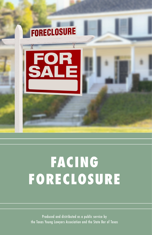

# **FACING FORECLOSURE**

Produced and distributed as a public service by the Texas Young Lawyers Association and the State Bar of Texas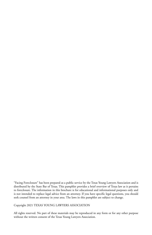"Facing Foreclosure" has been prepared as a public service by the Texas Young Lawyers Association and is distributed by the State Bar of Texas. This pamphlet provides a brief overview of Texas law as it pertains to foreclosure. The information in this brochure is for educational and informational purposes only and is not intended to replace legal advice from an attorney. If you have specific legal questions, you should seek counsel from an attorney in your area. The laws in this pamphlet are subject to change.

Copyright 2021 TEXAS YOUNG LAWYERS ASSOCIATION

All rights reserved. No part of these materials may be reproduced in any form or for any other purpose without the written consent of the Texas Young Lawyers Association.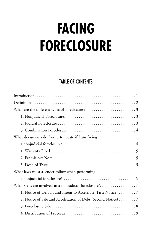# **FACING FORECLOSURE**

## TABLE OF CONTENTS

| What documents do I need to locate if I am facing               |
|-----------------------------------------------------------------|
|                                                                 |
|                                                                 |
|                                                                 |
|                                                                 |
| What laws must a lender follow when performing                  |
|                                                                 |
|                                                                 |
| 1. Notice of Default and Intent to Accelerate (First Notice)  7 |
| 2. Notice of Sale and Acceleration of Debt (Second Notice) 7    |
|                                                                 |
|                                                                 |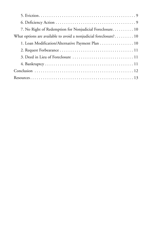| 7. No Right of Redemption for Nonjudicial Foreclosure 10          |
|-------------------------------------------------------------------|
| What options are available to avoid a nonjudicial foreclosure? 10 |
| 1. Loan Modification/Alternative Payment Plan 10                  |
|                                                                   |
|                                                                   |
|                                                                   |
|                                                                   |
|                                                                   |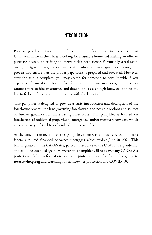## **INTRODUCTION**

Purchasing a home may be one of the most significant investments a person or family will make in their lives. Looking for a suitable home and making an offer to purchase it can be an exciting and nerve-racking experience. Fortunately, a real estate agent, mortgage broker, and escrow agent are often present to guide you through the process and ensure that the proper paperwork is prepared and executed. However, after the sale is complete, you may search for someone to consult with if you experience financial troubles and face foreclosure. In many situations, a homeowner cannot afford to hire an attorney and does not possess enough knowledge about the law to feel comfortable communicating with the lender alone.

This pamphlet is designed to provide a basic introduction and description of the foreclosure process, the laws governing foreclosure, and possible options and sources of further guidance for those facing foreclosure. This pamphlet is focused on foreclosures of residential properties by mortgagees and/or mortgage servicers, which are collectively referred to as "lenders" in this pamphlet.

At the time of the revision of this pamphlet, there was a foreclosure ban on most federally insured, financed, or owned mortgages, which expired June 30, 2021. This ban originated in the CARES Act, passed in response to the COVID-19 pandemic, and could be extended again. However, this pamphlet will not cover any CARES Act protections. More information on these protections can be found by going to **texaslawhelp.org** and searching for homeowner protection and COVID-19.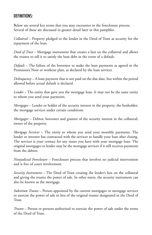## DEFINITIONS:

Below are several key terms that you may encounter in the foreclosure process. Several of these are discussed in greater detail later in this pamphlet.

*Collateral* – Property pledged to the lender in the Deed of Trust as security for the repayment of the loan.

*Deed of Trust* – Mortgage instrument that creates a lien on the collateral and allows the trustee to sell it to satisfy the loan debt in the event of a default.

*Default* – The failure of the borrower to make the loan payments as agreed in the Promissory Note or workout plan, as declared by the loan servicer.

*Delinquency* – A loan payment that is not paid on the due date, but within the period allowed before actual default is declared.

*Lender* – The entity that gave you the mortgage loan. It may not be the same entity to whom you send your payments.

*Mortgagee* – Lender or holder of the security interest in the property; the lienholder; the mortgage servicer under certain conditions.

*Mortgagor* – Debtor, borrower and grantor of the security interest in the collateral; owner of the property.

*Mortgage Servicer* – The entity to whom you send your monthly payments. The lender or investor has contracted with the servicer to handle your loan after closing. The servicer is your contact for any issues you have with your mortgage loan. The original mortgagee or lender may be the mortgage servicer if it still receives payments from the debtor.

*Nonjudicial Foreclosure* – Foreclosure process that involves no judicial intervention and is free of court involvement.

*Security Instrument* – The Deed of Trust creating the lender's lien on the collateral and giving the trustee the power of sale. In other states, the security instrument can also be known as the mortgage.

*Substitute Trustee* – Person appointed by the current mortgagee or mortgage servicer to exercise the power of sale in lieu of the original trustee designated in the Deed of Trust.

*Trustee* – Person or persons authorized to exercise the power of sale under the terms of the Deed of Trust.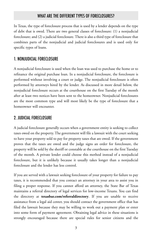## WHAT ARF THE DIFFFRENT TYPES OF FORECLOSURES?

In Texas, the type of foreclosure process that is used by a lender depends on the type of debt that is owed. There are two general classes of foreclosure: (1) a nonjudicial foreclosure; and (2) a judicial foreclosure. There is also a third type of foreclosure that combines parts of the nonjudicial and judicial foreclosures and is used only for specific types of loans.

## 1. NONJUDICIAL FORECLOSURE

A nonjudicial foreclosure is used when the loan was used to purchase the home or to refinance the original purchase loan. In a nonjudicial foreclosure, the foreclosure is performed without involving a court or judge. The nonjudicial foreclosure is often performed by attorneys hired by the lender. As discussed in more detail below, the nonjudicial foreclosure occurs at the courthouse on the first Tuesday of the month after at least two notices have been sent to the homeowner. Nonjudicial foreclosures are the most common type and will most likely be the type of foreclosure that a homeowner will encounter.

## 2. JUDICIAL FORECLOSURE

A judicial foreclosure generally occurs when a government entity is seeking to collect taxes owed on the property. The government will file a lawsuit with the court seeking to have your property sold to pay for property taxes that are owed. If the government proves that the taxes are owed and the judge signs an order for foreclosure, the property will be sold by the sheriff or constable at the courthouse on the first Tuesday of the month. A private lender could choose this method instead of a nonjudicial foreclosure, but it is unlikely because it usually takes longer than a nonjudicial foreclosure and the lender has less control.

If you are served with a lawsuit seeking foreclosure of your property for failure to pay taxes, it is recommended that you contact an attorney in your area to assist you in filing a proper response. If you cannot afford an attorney, the State Bar of Texas maintains a referral directory of legal services for low-income Texans. You can find the directory at **texasbar.com/referraldirectory**. If you are unable to receive assistance from a legal aid center, you should contact the government office that has filed the lawsuit because they may be willing to work out a payment plan or enter into some form of payment agreement. Obtaining legal advice in these situations is strongly encouraged because there are special rules for senior citizens and the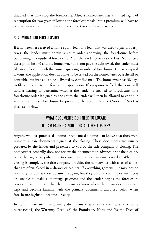disabled that may stop the foreclosure. Also, a homeowner has a limited right of redemption for two years following the foreclosure sale, but a premium will have to be paid in addition to the amount owed for taxes and maintenance.

## 3. COMBINATION FORECLOSURE

If a homeowner received a home equity loan or a loan that was used to pay property taxes, the lender must obtain a court order approving the foreclosure before performing a nonjudicial foreclosure. After the lender provides the First Notice (see description below) and the homeowner does not pay the debt owed, the lender must file an application with the court requesting an order of foreclosure. Unlike a typical lawsuit, the application does not have to be served on the homeowner by a sheriff or constable, but instead can be delivered by certified mail. The homeowner has 38 days to file a response to the foreclosure application. If a response is filed, the court will hold a hearing to determine whether the lender is entitled to foreclosure. If a foreclosure order is signed by the court, the lender will then be allowed to continue with a nonjudicial foreclosure by providing the Second Notice (Notice of Sale) as discussed below.

## WHAT DOCUMENTS DO I NEED TO LOCATE IF I AM FACING A NONJUDICIAL FORECLOSURE?

Anyone who has purchased a home or refinanced a home loan knows that there were numerous loan documents signed at the closing. These documents are usually prepared by the lender and presented to you by the title company at closing. The homeowner generally does not review the documents in advance or at the closing, but rather signs everywhere the title agent indicates a signature is needed. When the closing is complete, the title company provides the homeowner with a set of copies that are often placed in a drawer or cabinet. If everything goes well, it may not be necessary to look at these documents again, but they become very important if you are unable to make a mortgage payment and the lender begins the foreclosure process. It is important that the homeowner know where their loan documents are kept and become familiar with the primary documents discussed below when foreclosure begins to become a reality.

In Texas, there are three primary documents that serve as the heart of a home purchase: (1) the Warranty Deed; (2) the Promissory Note; and (3) the Deed of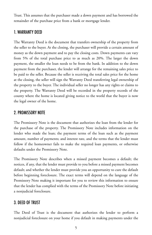Trust. This assumes that the purchaser made a down payment and has borrowed the remainder of the purchase price from a bank or mortgage lender.

#### 1. WARRANTY DEED

The Warranty Deed is the document that transfers ownership of the property from the seller to the buyer. At the closing, the purchaser will provide a certain amount of money as the down payment and to pay the closing costs. Down payments can vary from 5% of the total purchase price to as much as 20%. The larger the down payment, the smaller the loan needs to be from the bank. In addition to the down payment from the purchaser, the lender will arrange for the remaining sales price to be paid to the seller. Because the seller is receiving the total sales price for the home at the closing, the seller will sign the Warranty Deed transferring legal ownership of the property to the buyer. The individual seller no longer has any rights or claims to the property. The Warranty Deed will be recorded in the property records of the county where the home is located giving notice to the world that the buyer is now the legal owner of the home.

#### 2. PROMISSORY NOTE

The Promissory Note is the document that authorizes the loan from the lender for the purchase of the property. The Promissory Note includes information on the lender who made the loan; the payment terms of the loan such as the payment amount, number of payments; and interest rate, and the terms that the lender must follow if the homeowner fails to make the required loan payments, or otherwise defaults under the Promissory Note.

The Promissory Note describes when a missed payment becomes a default; the notices, if any, that the lender must provide to you before a missed payment becomes default; and whether the lender must provide you an opportunity to cure the default before beginning foreclosure. The exact terms will depend on the language of the Promissory Note making it important for you to review this information to ensure that the lender has complied with the terms of the Promissory Note before initiating a nonjudicial foreclosure.

#### 3. DEED OF TRUST

The Deed of Trust is the document that authorizes the lender to perform a nonjudicial foreclosure on your home if you default in making payments under the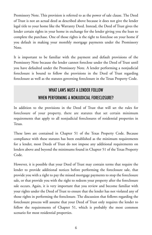Promissory Note. This provision is referred to as the power of sale clause. The Deed of Trust is not an actual deed as described above because it does not give the lender legal title to your home like the Warranty Deed. Instead, the Deed of Trust gives the lender certain rights in your home in exchange for the lender giving you the loan to complete the purchase. One of those rights is the right to foreclose on your home if you default in making your monthly mortgage payments under the Promissory Note.

It is important to be familiar with the payment and default provisions of the Promissory Note because the lender cannot foreclose under the Deed of Trust until you have defaulted under the Promissory Note. A lender performing a nonjudicial foreclosure is bound to follow the provisions in the Deed of Trust regarding foreclosure as well as the statutes governing foreclosure in the Texas Property Code.

## WHAT LAWS MIIST A LENDER FOLLOW WHEN PERFORMING A NONJUDICIAL FORECLOSURE?

In addition to the provisions in the Deed of Trust that will set the rules for foreclosure of your property, there are statutes that set certain minimum requirements that apply to all nonjudicial foreclosures of residential properties in Texas.

These laws are contained in Chapter 51 of the Texas Property Code. Because compliance with these statutes has been established as the minimum requirements for a lender, most Deeds of Trust do not impose any additional requirements on lenders above and beyond the minimums found in Chapter 51 of the Texas Property Code.

However, it is possible that your Deed of Trust may contain terms that require the lender to provide additional notices before performing the foreclosure sale, that provide you with a right to pay the missed mortgage payments to stop the foreclosure sale, or that provide you with the right to redeem your property after the foreclosure sale occurs. Again, it is very important that you review and become familiar with your rights under the Deed of Trust to ensure that the lender has not violated any of those rights in performing the foreclosure. The discussion that follows regarding the foreclosure process will assume that your Deed of Trust only requires the lender to follow the requirements of Chapter 51, which is probably the most common scenario for most residential properties.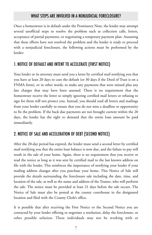## WHAT STEPS ARE INVOLVED IN A NONJUDICIAL FORECLOSURE?

Once a homeowner is in default under the Promissory Note, the lender may attempt several unofficial steps to resolve the problem such as collection calls, letters, acceptance of partial payments, or negotiating a temporary payment plan. Assuming that these efforts have not resolved the problem and the lender is ready to proceed with a nonjudicial foreclosure, the following actions must be performed by the lender:

## 1. NOTICE OF DEFAULT AND INTENT TO ACCELERATE (FIRST NOTICE)

Your lender or its attorney must send you a letter by certified mail notifying you that you have at least 20 days to cure the default (or 30 days if the Deed of Trust is on a FNMA form), or in other words, to make any payments that were missed plus any late charges that may have been assessed. There is no requirement that the homeowner receive the letter so simply ignoring certified mail letters or refusing to sign for them will not protect you. Instead, you should read all letters and mailings from your lender carefully to ensure that you do not miss a deadline or opportunity to fix the problem. If the back due payments are not brought current within the 20 days, the lender has the right to demand that the entire loan amount be paid immediately.

## 2. NOTICE OF SALE AND ACCELERATION OF DEBT (SECOND NOTICE)

After the 20-day period has expired, the lender must send a second letter by certified mail notifying you that the entire loan balance is now due, and the failure to pay will result in the sale of your home. Again, there is no requirement that you receive or read the notice as long as it was sent by certified mail to the last known address on file with the lender. This reinforces the importance of notifying your lender if your mailing address changes after you purchase your home. This Notice of Sale will provide the details surrounding the foreclosure sale including the date, time, and location of the sale, as well as the name and address of the Trustee, who will perform the sale. The notice must be provided at least 21 days before the sale occurs. The Notice of Sale must also be posted at the county courthouse in the designated location and filed with the County Clerk's office.

It is possible that after receiving the First Notice or the Second Notice you are contacted by your lender offering to negotiate a resolution, delay the foreclosure, or other possible solution. These individuals may not be working with or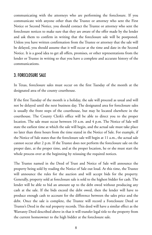communicating with the attorneys who are performing the foreclosure. If you communicate with anyone other than the Trustee or attorney who sent the First Notice or Second Notice, you should contact the Trustee or attorney who sent the foreclosure notices to make sure that they are aware of the offer made by the lender and ask them to confirm in writing that the foreclosure sale will be postponed. Unless you have written confirmation from the Trustee or attorney that the sale will be delayed, you should assume that it will occur at the time and date in the Second Notice. It is a good idea to get all offers, promises, or other representations from the lender or Trustee in writing so that you have a complete and accurate history of the communications.

#### 3. FORECLOSURE SALE

In Texas, foreclosure sales must occur on the first Tuesday of the month at the designated area of the county courthouse.

If the first Tuesday of the month is a holiday, the sale will proceed as usual and will not be delayed until the next business day. The designated area for foreclosure sales is usually the front steps of the courthouse, but may be located elsewhere in the courthouse. The County Clerk's office will be able to direct you to the proper location. The sale must occur between 10 a.m. and 4 p.m. The Notice of Sale will state the earliest time at which the sale will begin, and the actual sale must take place no later than three hours from the time stated in the Notice of Sale. For example, if the Notice of Sale states that the foreclosure sale will begin at 11 a.m., the actual sale cannot occur after 2 p.m. If the Trustee does not perform the foreclosure sale on the proper date, at the proper time, and at the proper location, he or she must start the whole process over at the beginning by reissuing the required notices.

The Trustee named in the Deed of Trust and Notice of Sale will announce the property being sold by reading the Notice of Sale out loud. At this time, the Trustee will announce the rules for the auction and will accept bids for the property. Generally, property sold at foreclosure sale is sold to the highest bidder for cash. The lender will be able to bid an amount up to the debt owed without producing any cash at the sale. If the bids exceed the debt owed, then the lender will have to produce enough cash to account for the difference between the sales price and the debt. Once the sale is complete, the Trustee will record a Foreclosure Deed or Trustee's Deed in the real property records. This deed will have a similar effect as the Warranty Deed described above in that it will transfer legal title to the property from the current homeowner to the high bidder at the foreclosure sale.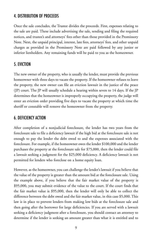#### 4. DISTRIBUTION OF PROCEEDS

Once the sale concludes, the Trustee divides the proceeds. First, expenses relating to the sale are paid. These include advertising the sale, sending and filing the required notices, and trustee's and attorneys' fees other than those provided in the Promissory Note. Next, the unpaid principal, interest, late fees, attorneys' fees, and other unpaid charges as provided in the Promissory Note are paid followed by any junior or inferior lienholders. Any remaining funds will be paid to you as the homeowner.

#### 5. EVICTION

The new owner of the property, who is usually the lender, must provide the previous homeowner with three days to vacate the property. If the homeowner refuses to leave the property, the new owner can file an eviction lawsuit in the justice of the peace (JP) court. The JP will usually schedule a hearing within seven to 14 days. If the JP determines that the homeowner is improperly occupying the property, the judge will enter an eviction order providing five days to vacate the property at which time the sheriff or constable will remove the homeowner from the property.

#### 6. DEFICIENCY ACTION

After completion of a nonjudicial foreclosure, the lender has two years from the foreclosure sale to file a deficiency lawsuit if the high bid at the foreclosure sale is not enough to pay the lender the debt owed to and the expenses associated with the foreclosure. For example, if the homeowner owes the lender \$100,000 and the lender purchases the property at the foreclosure sale for \$75,000, then the lender could file a lawsuit seeking a judgment for the \$25,000 deficiency. A deficiency lawsuit is not permitted for lenders who foreclose on a home equity loan.

However, as the homeowner, you can challenge the lender's lawsuit if you believe that the value of the property is greater than the amount bid at the foreclosure sale. Using the example above, if you believe that the fair market value of the property is \$95,000, you may submit evidence of the value to the court. If the court finds that the fair market value is \$95,000, then the lender will only be able to collect the difference between the debt owed and the fair market value, in this case \$5,000. This law is in place to prevent lenders from making low bids at the foreclosure sale and then going after the borrower for large deficiencies. If you are served with a lawsuit seeking a deficiency judgment after a foreclosure, you should contact an attorney to determine if the lender is seeking an amount greater than what it is entitled and to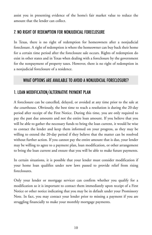assist you in presenting evidence of the home's fair market value to reduce the amount that the lender can collect.

## 7. NO RIGHT OF REDEMPTION FOR NONJUDICIAL FORECLOSURE

In Texas, there is no right of redemption for homeowners after a nonjudicial foreclosure. A right of redemption is where the homeowner can buy back their home for a certain time period after the foreclosure sale occurs. Rights of redemption do exist in other states and in Texas when dealing with a foreclosure by the government for the nonpayment of property taxes. However, there is no right of redemption in a nonjudicial foreclosure of a residence.

## WHAT OPTIONS ARE AVAILABLE TO AVOID A NONJUDICIAL FORECLOSURE?

## 1. LOAN MODIFICATION/ALTERNATIVE PAYMENT PLAN

A foreclosure can be cancelled, delayed, or avoided at any time prior to the sale at the courthouse. Obviously, the best time to reach a resolution is during the 20-day period after receipt of the First Notice. During this time, you are only required to pay the past due amounts and not the entire loan amount. If you believe that you will be able to gather the necessary funds to bring the loan current, it would be wise to contact the lender and keep them informed on your progress, as they may be willing to extend the 20-day period if they believe that the matter can be resolved without further action. If you cannot pay the entire amount that is due, your lender may be willing to agree to a payment plan, loan modification, or other arrangement to bring the loan current and ensure that you will be able to make future payments.

In certain situations, it is possible that your lender must consider modification if your home loan qualifies under new laws passed to provide relief from rising foreclosures.

Only your lender or mortgage servicer can confirm whether you qualify for a modification so it is important to contact them immediately upon receipt of a First Notice or other notice indicating that you may be in default under your Promissory Note. In fact, you may contact your lender prior to missing a payment if you are struggling financially to make your monthly mortgage payments.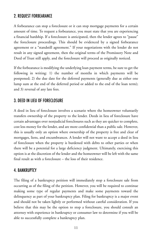## 2. REQUEST FORBEARANCE

A forbearance can stop a foreclosure or it can stop mortgage payments for a certain amount of time. To request a forbearance, you must state that you are experiencing a financial hardship. If a foreclosure is anticipated, then the lender agrees to "pause" the foreclosure proceedings. This should be evidenced by a signed forbearance agreement or a "standstill agreement." If your negotiations with the lender do not result in any signed agreement, then the original terms of the Promissory Note and Deed of Trust still apply, and the foreclosure will proceed as originally noticed.

If the forbearance is modifying the underlying loan payment terms, be sure to get the following in writing: 1) the number of months in which payments will be postponed; 2) the due date for the deferred payments (generally due as either one lump sum at the end of the deferred period or added to the end of the loan term); and 3) reversal of any late fees.

#### 3. DEED IN LIEU OF FORECLOSURE

A deed in lieu of foreclosure involves a scenario where the homeowner voluntarily transfers ownership of the property to the lender. Deeds in lieu of foreclosure have certain advantages over nonjudicial foreclosures such as they are quicker to complete, cost less money for the lender, and are more confidential than a public sale. However, this is usually only an option where ownership of the property is free and clear of mortgages, liens, and encumbrances. A lender will not want to accept a deed in lieu of foreclosure when the property is burdened with debts to other parties or when there will be a potential for a large deficiency judgment. Ultimately, exercising this option is at the discretion of the lender and the homeowner will be left with the same final result as with a foreclosure – the loss of their residence.

#### 4. BANKRUPTCY

The filing of a bankruptcy petition will immediately stop a foreclosure sale from occurring as of the filing of the petition. However, you will be required to continue making some type of regular payments and make some payments toward the delinquency as part of your bankruptcy plan. Filing for bankruptcy is a major event and should not be taken lightly or performed without careful consideration. If you believe that this may be the option to stop a foreclosure, you should consult an attorney with experience in bankruptcy or consumer law to determine if you will be able to successfully complete a bankruptcy plan.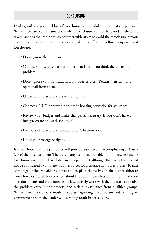## **CONCLUSION**

Dealing with the potential loss of your home is a stressful and traumatic experience. While there are certain situations where foreclosure cannot be avoided, there are several actions that can be taken before trouble arises to avoid the foreclosure of your home. The Texas Foreclosure Prevention Task Force offers the following tips to avoid foreclosure:

- Don't ignore the problem.
- Contact your servicer sooner rather than later if you think there may be a problem.
- Don't ignore communications from your servicer. Return their calls and open mail from them.
- Understand foreclosure prevention options.
- Contact a HUD-approved non-profit housing counselor for assistance.
- Review your budget and make changes as necessary. If you don't have a budget, create one and stick to it!
- Be aware of foreclosure scams and don't become a victim.
- Know your mortgage rights.

It is our hope that this pamphlet will provide assistance in accomplishing at least a few of the tips listed here. There are many resources available for homeowners facing foreclosure including those listed in this pamphlet although this pamphlet should not be considered a complete list of resources for assistance with foreclosures. To take advantage of the available resources and to place themselves in the best position to avoid foreclosure, all homeowners should educate themselves on the terms of their loan documents and basic foreclosure law, actively work with their lenders to resolve the problem early in the process, and seek out assistance from qualified groups. While it will not always result in success, ignoring the problem and refusing to communicate with the lender will certainly result in foreclosure.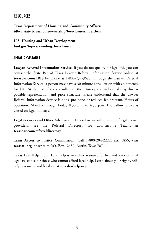## **RESOURCES**

**Texas Department of Housing and Community Affairs: tdhca.state.tx.us/homeownership/foreclosure/index.htm**

**U.S. Housing and Urban Development: hud.gov/topics/avoiding\_foreclosure**

## LEGAL ASSISTANCE

**Lawyer Referral Information Service:** If you do not qualify for legal aid, you can contact the State Bar of Texas Lawyer Referral information Service online at **texasbar.com/LRIS** by phone at 1-800-252-9690. Through the Lawyer Referral Information Service, a person may have a 30-minute consultation with an attorney for \$20. At the end of the consultation, the attorney and individual may discuss possible representation and price structure. Please understand that the Lawyer Referral Information Service is not a pro bono or reduced-fee program. Hours of operation: Monday through Friday 8:30 a.m. to 4:30 p.m. The call-in service is closed on legal holidays.

**Legal Services and Other Advocacy in Texas:** For an online listing of legal service providers, see the Referral Directory for Low-Income Texans at **texasbar.com/referraldirectory**.

**Texas Access to Justice Commission:** Call 1-800-204-2222, ext. 1855, visit **texasatj.org**, or write to P.O. Box 12487, Austin, Texas 78711.

**Texas Law Help:** Texas Law Help is an online resource for free and low-cost civil legal assistance for those who cannot afford legal help. Learn about your rights, selfhelp resources, and legal aid at **texaslawhelp.org**.